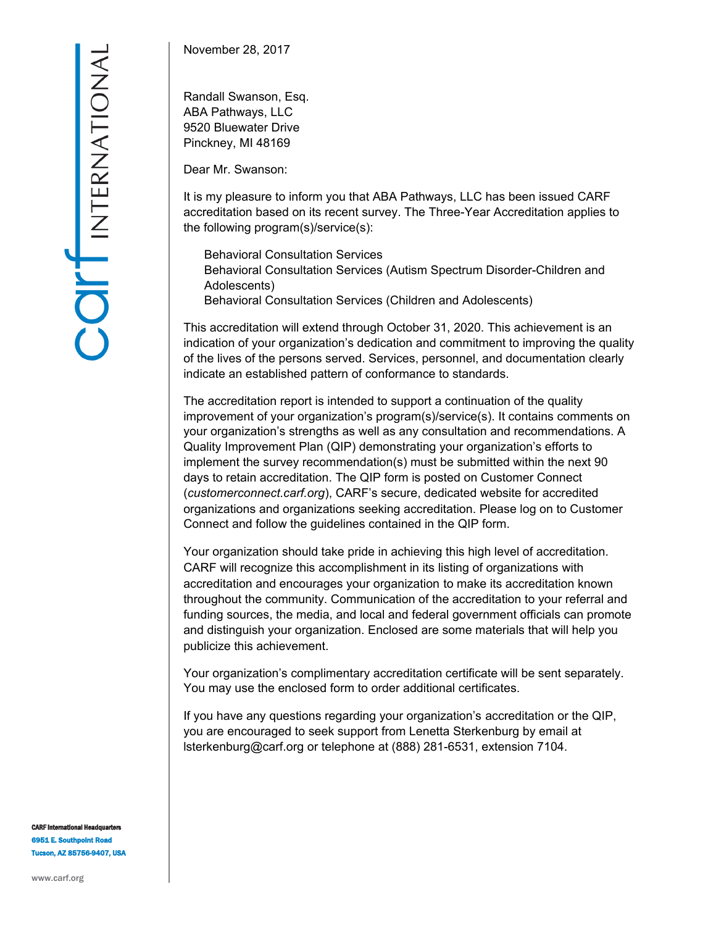November 28, 2017

Randall Swanson, Esq. ABA Pathways, LLC 9520 Bluewater Drive Pinckney, MI 48169

Dear Mr. Swanson:

It is my pleasure to inform you that ABA Pathways, LLC has been issued CARF accreditation based on its recent survey. The Three-Year Accreditation applies to the following program(s)/service(s):

Behavioral Consultation Services Behavioral Consultation Services (Autism Spectrum Disorder-Children and Adolescents) Behavioral Consultation Services (Children and Adolescents)

This accreditation will extend through October 31, 2020. This achievement is an indication of your organization's dedication and commitment to improving the quality of the lives of the persons served. Services, personnel, and documentation clearly indicate an established pattern of conformance to standards.

The accreditation report is intended to support a continuation of the quality improvement of your organization's program(s)/service(s). It contains comments on your organization's strengths as well as any consultation and recommendations. A Quality Improvement Plan (QIP) demonstrating your organization's efforts to implement the survey recommendation(s) must be submitted within the next 90 days to retain accreditation. The QIP form is posted on Customer Connect (*customerconnect.carf.org*), CARF's secure, dedicated website for accredited organizations and organizations seeking accreditation. Please log on to Customer Connect and follow the guidelines contained in the QIP form.

Your organization should take pride in achieving this high level of accreditation. CARF will recognize this accomplishment in its listing of organizations with accreditation and encourages your organization to make its accreditation known throughout the community. Communication of the accreditation to your referral and funding sources, the media, and local and federal government officials can promote and distinguish your organization. Enclosed are some materials that will help you publicize this achievement.

Your organization's complimentary accreditation certificate will be sent separately. You may use the enclosed form to order additional certificates.

If you have any questions regarding your organization's accreditation or the QIP, you are encouraged to seek support from Lenetta Sterkenburg by email at lsterkenburg@carf.org or telephone at (888) 281-6531, extension 7104.

**CARF International Headquarter** 6951 E. Southpoint Road Tucson, AZ 85756-9407, USA